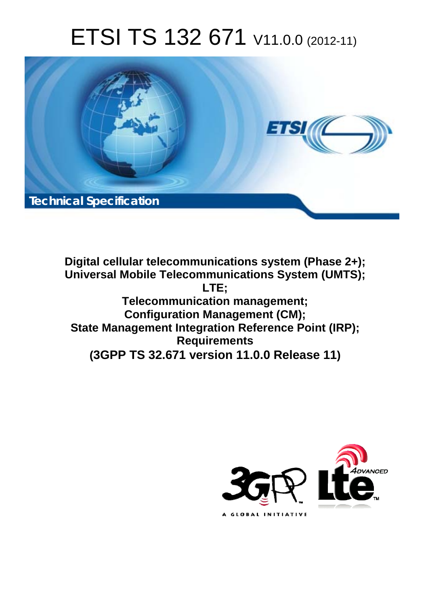# ETSI TS 132 671 V11.0.0 (2012-11)



**Digital cellular telecommunications system (Phase 2+); Universal Mobile Telecommunications System (UMTS); LTE; Telecommunication management; Configuration Management (CM); State Management Integration Reference Point (IRP); Requirements (3GPP TS 32.671 version 11.0.0 Release 11)**

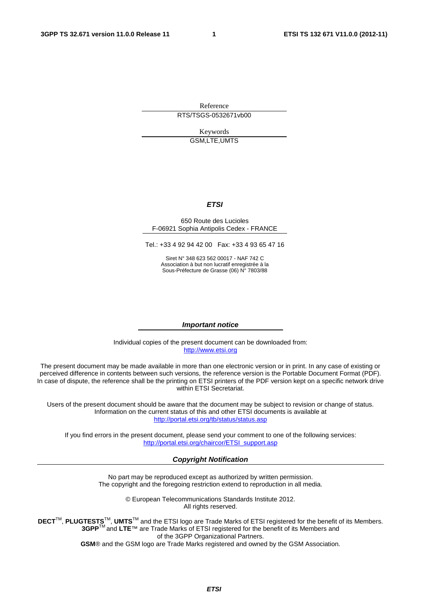Reference RTS/TSGS-0532671vb00

> Keywords GSM,LTE,UMTS

#### *ETSI*

#### 650 Route des Lucioles F-06921 Sophia Antipolis Cedex - FRANCE

Tel.: +33 4 92 94 42 00 Fax: +33 4 93 65 47 16

Siret N° 348 623 562 00017 - NAF 742 C Association à but non lucratif enregistrée à la Sous-Préfecture de Grasse (06) N° 7803/88

#### *Important notice*

Individual copies of the present document can be downloaded from: [http://www.etsi.org](http://www.etsi.org/)

The present document may be made available in more than one electronic version or in print. In any case of existing or perceived difference in contents between such versions, the reference version is the Portable Document Format (PDF). In case of dispute, the reference shall be the printing on ETSI printers of the PDF version kept on a specific network drive within ETSI Secretariat.

Users of the present document should be aware that the document may be subject to revision or change of status. Information on the current status of this and other ETSI documents is available at <http://portal.etsi.org/tb/status/status.asp>

If you find errors in the present document, please send your comment to one of the following services: [http://portal.etsi.org/chaircor/ETSI\\_support.asp](http://portal.etsi.org/chaircor/ETSI_support.asp)

#### *Copyright Notification*

No part may be reproduced except as authorized by written permission. The copyright and the foregoing restriction extend to reproduction in all media.

> © European Telecommunications Standards Institute 2012. All rights reserved.

**DECT**TM, **PLUGTESTS**TM, **UMTS**TM and the ETSI logo are Trade Marks of ETSI registered for the benefit of its Members. **3GPP**TM and **LTE**™ are Trade Marks of ETSI registered for the benefit of its Members and of the 3GPP Organizational Partners.

**GSM**® and the GSM logo are Trade Marks registered and owned by the GSM Association.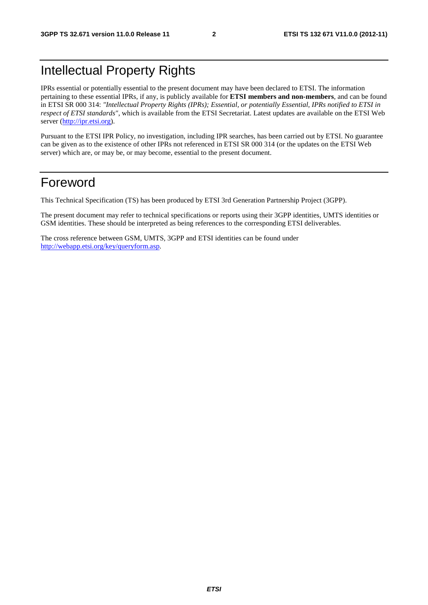## Intellectual Property Rights

IPRs essential or potentially essential to the present document may have been declared to ETSI. The information pertaining to these essential IPRs, if any, is publicly available for **ETSI members and non-members**, and can be found in ETSI SR 000 314: *"Intellectual Property Rights (IPRs); Essential, or potentially Essential, IPRs notified to ETSI in respect of ETSI standards"*, which is available from the ETSI Secretariat. Latest updates are available on the ETSI Web server ([http://ipr.etsi.org\)](http://webapp.etsi.org/IPR/home.asp).

Pursuant to the ETSI IPR Policy, no investigation, including IPR searches, has been carried out by ETSI. No guarantee can be given as to the existence of other IPRs not referenced in ETSI SR 000 314 (or the updates on the ETSI Web server) which are, or may be, or may become, essential to the present document.

### Foreword

This Technical Specification (TS) has been produced by ETSI 3rd Generation Partnership Project (3GPP).

The present document may refer to technical specifications or reports using their 3GPP identities, UMTS identities or GSM identities. These should be interpreted as being references to the corresponding ETSI deliverables.

The cross reference between GSM, UMTS, 3GPP and ETSI identities can be found under [http://webapp.etsi.org/key/queryform.asp.](http://webapp.etsi.org/key/queryform.asp)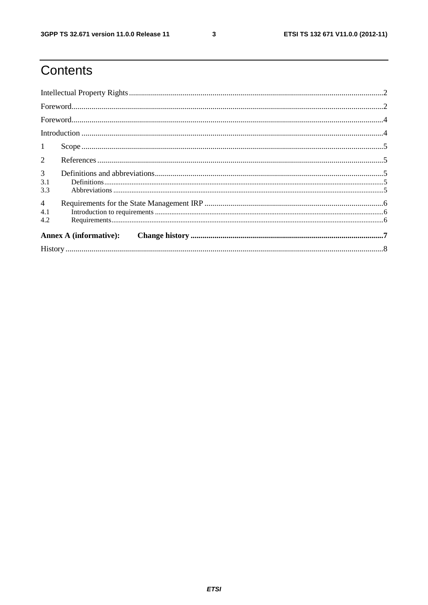$\mathbf{3}$ 

# Contents

| $\mathbf{1}$                 |  |  |  |  |  |
|------------------------------|--|--|--|--|--|
| $\overline{2}$               |  |  |  |  |  |
| $\mathbf{3}$<br>3.1<br>3.3   |  |  |  |  |  |
| $\overline{4}$<br>4.1<br>4.2 |  |  |  |  |  |
|                              |  |  |  |  |  |
|                              |  |  |  |  |  |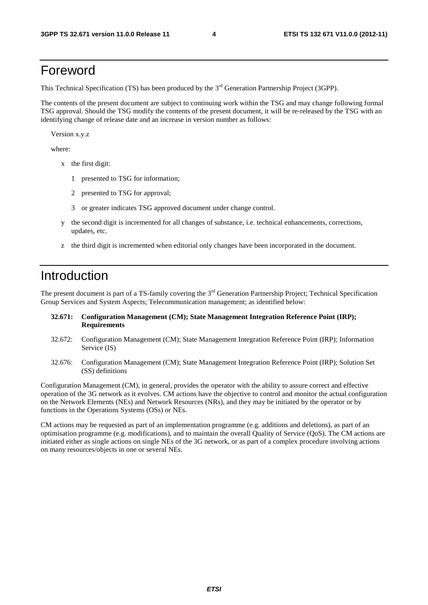### Foreword

This Technical Specification (TS) has been produced by the 3<sup>rd</sup> Generation Partnership Project (3GPP).

The contents of the present document are subject to continuing work within the TSG and may change following formal TSG approval. Should the TSG modify the contents of the present document, it will be re-released by the TSG with an identifying change of release date and an increase in version number as follows:

Version x.y.z

where:

- x the first digit:
	- 1 presented to TSG for information;
	- 2 presented to TSG for approval;
	- 3 or greater indicates TSG approved document under change control.
- y the second digit is incremented for all changes of substance, i.e. technical enhancements, corrections, updates, etc.
- z the third digit is incremented when editorial only changes have been incorporated in the document.

### Introduction

The present document is part of a TS-family covering the 3<sup>rd</sup> Generation Partnership Project; Technical Specification Group Services and System Aspects; Telecommunication management; as identified below:

#### **32.671: Configuration Management (CM); State Management Integration Reference Point (IRP); Requirements**

- 32.672: Configuration Management (CM); State Management Integration Reference Point (IRP); Information Service (IS)
- 32.676: Configuration Management (CM); State Management Integration Reference Point (IRP); Solution Set (SS) definitions

Configuration Management (CM), in general, provides the operator with the ability to assure correct and effective operation of the 3G network as it evolves. CM actions have the objective to control and monitor the actual configuration on the Network Elements (NEs) and Network Resources (NRs), and they may be initiated by the operator or by functions in the Operations Systems (OSs) or NEs.

CM actions may be requested as part of an implementation programme (e.g. additions and deletions), as part of an optimisation programme (e.g. modifications), and to maintain the overall Quality of Service (QoS). The CM actions are initiated either as single actions on single NEs of the 3G network, or as part of a complex procedure involving actions on many resources/objects in one or several NEs.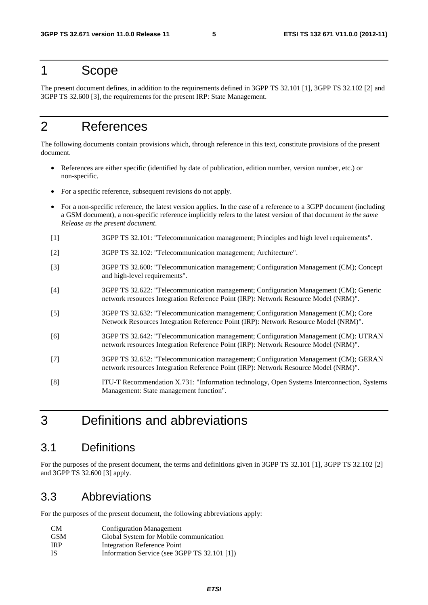#### 1 Scope

The present document defines, in addition to the requirements defined in 3GPP TS 32.101 [1], 3GPP TS 32.102 [2] and 3GPP TS 32.600 [3], the requirements for the present IRP: State Management.

### 2 References

The following documents contain provisions which, through reference in this text, constitute provisions of the present document.

- References are either specific (identified by date of publication, edition number, version number, etc.) or non-specific.
- For a specific reference, subsequent revisions do not apply.
- For a non-specific reference, the latest version applies. In the case of a reference to a 3GPP document (including a GSM document), a non-specific reference implicitly refers to the latest version of that document *in the same Release as the present document*.
- [1] 3GPP TS 32.101: "Telecommunication management; Principles and high level requirements".
- [2] 3GPP TS 32.102: "Telecommunication management; Architecture".
- [3] 3GPP TS 32.600: "Telecommunication management; Configuration Management (CM); Concept and high-level requirements".
- [4] 3GPP TS 32.622: "Telecommunication management; Configuration Management (CM); Generic network resources Integration Reference Point (IRP): Network Resource Model (NRM)".
- [5] 3GPP TS 32.632: "Telecommunication management; Configuration Management (CM); Core Network Resources Integration Reference Point (IRP): Network Resource Model (NRM)".
- [6] 3GPP TS 32.642: "Telecommunication management; Configuration Management (CM): UTRAN network resources Integration Reference Point (IRP): Network Resource Model (NRM)".
- [7] 3GPP TS 32.652: "Telecommunication management; Configuration Management (CM); GERAN network resources Integration Reference Point (IRP): Network Resource Model (NRM)".
- [8] ITU-T Recommendation X.731: "Information technology, Open Systems Interconnection, Systems Management: State management function".

### 3 Definitions and abbreviations

#### 3.1 Definitions

For the purposes of the present document, the terms and definitions given in 3GPP TS 32.101 [1], 3GPP TS 32.102 [2] and 3GPP TS 32.600 [3] apply.

#### 3.3 Abbreviations

For the purposes of the present document, the following abbreviations apply:

| CM         | <b>Configuration Management</b>              |
|------------|----------------------------------------------|
| <b>GSM</b> | Global System for Mobile communication       |
| <b>IRP</b> | Integration Reference Point                  |
| -IS        | Information Service (see 3GPP TS 32.101 [1]) |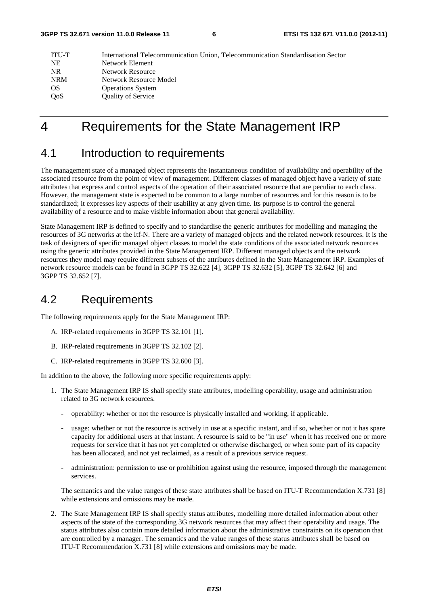| ITU-T      | International Telecommunication Union, Telecommunication Standardisation Sector |
|------------|---------------------------------------------------------------------------------|
| <b>NE</b>  | Network Element                                                                 |
| NR.        | Network Resource                                                                |
| <b>NRM</b> | Network Resource Model                                                          |
| <b>OS</b>  | <b>Operations System</b>                                                        |
| <b>OoS</b> | <b>Quality of Service</b>                                                       |
|            |                                                                                 |

### 4 Requirements for the State Management IRP

#### 4.1 Introduction to requirements

The management state of a managed object represents the instantaneous condition of availability and operability of the associated resource from the point of view of management. Different classes of managed object have a variety of state attributes that express and control aspects of the operation of their associated resource that are peculiar to each class. However, the management state is expected to be common to a large number of resources and for this reason is to be standardized; it expresses key aspects of their usability at any given time. Its purpose is to control the general availability of a resource and to make visible information about that general availability.

State Management IRP is defined to specify and to standardise the generic attributes for modelling and managing the resources of 3G networks at the Itf-N. There are a variety of managed objects and the related network resources. It is the task of designers of specific managed object classes to model the state conditions of the associated network resources using the generic attributes provided in the State Management IRP. Different managed objects and the network resources they model may require different subsets of the attributes defined in the State Management IRP. Examples of network resource models can be found in 3GPP TS 32.622 [4], 3GPP TS 32.632 [5], 3GPP TS 32.642 [6] and 3GPP TS 32.652 [7].

#### 4.2 Requirements

The following requirements apply for the State Management IRP:

- A. IRP-related requirements in 3GPP TS 32.101 [1].
- B. IRP-related requirements in 3GPP TS 32.102 [2].
- C. IRP-related requirements in 3GPP TS 32.600 [3].

In addition to the above, the following more specific requirements apply:

- 1. The State Management IRP IS shall specify state attributes, modelling operability, usage and administration related to 3G network resources.
	- operability: whether or not the resource is physically installed and working, if applicable.
	- usage: whether or not the resource is actively in use at a specific instant, and if so, whether or not it has spare capacity for additional users at that instant. A resource is said to be "in use" when it has received one or more requests for service that it has not yet completed or otherwise discharged, or when some part of its capacity has been allocated, and not yet reclaimed, as a result of a previous service request.
	- administration: permission to use or prohibition against using the resource, imposed through the management services.

The semantics and the value ranges of these state attributes shall be based on ITU-T Recommendation X.731 [8] while extensions and omissions may be made.

2. The State Management IRP IS shall specify status attributes, modelling more detailed information about other aspects of the state of the corresponding 3G network resources that may affect their operability and usage. The status attributes also contain more detailed information about the administrative constraints on its operation that are controlled by a manager. The semantics and the value ranges of these status attributes shall be based on ITU-T Recommendation X.731 [8] while extensions and omissions may be made.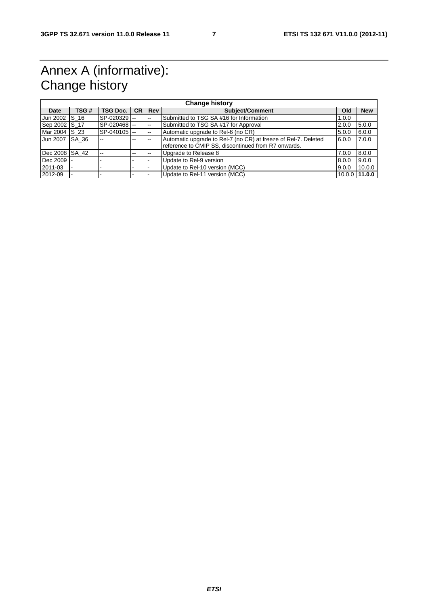# Annex A (informative): Change history

| <b>Change history</b> |        |                 |           |                          |                                                                                                                       |                   |            |
|-----------------------|--------|-----------------|-----------|--------------------------|-----------------------------------------------------------------------------------------------------------------------|-------------------|------------|
| Date                  | TSG#   | <b>TSG Doc.</b> | <b>CR</b> | <b>Rev</b>               | <b>Subject/Comment</b>                                                                                                | Old               | <b>New</b> |
| Jun 2002              | S 16   | SP-020329 --    |           | $\overline{\phantom{a}}$ | Submitted to TSG SA #16 for Information                                                                               | 1.0.0             |            |
| Sep 2002 S 17         |        | SP-020468       |           | $\overline{a}$           | Submitted to TSG SA #17 for Approval                                                                                  | 2.0.0             | 5.0.0      |
| Mar 2004 IS 23        |        | SP-040105       |           | $-$                      | Automatic upgrade to Rel-6 (no CR)                                                                                    | 5.0.0             | 6.0.0      |
| Jun 2007              | ISA 36 |                 | $-$       | --                       | Automatic upgrade to Rel-7 (no CR) at freeze of Rel-7. Deleted<br>reference to CMIP SS, discontinued from R7 onwards. | 6.0.0             | 7.0.0      |
| Dec 2008 SA 42        |        | $- -$           | --        | --                       | Upgrade to Release 8                                                                                                  | 7.0.0             | 8.0.0      |
| Dec 2009              |        |                 |           |                          | Update to Rel-9 version                                                                                               | 8.0.0             | 9.0.0      |
| 2011-03               |        |                 |           |                          | Update to Rel-10 version (MCC)                                                                                        | 9.0.0             | 10.0.0     |
| 2012-09               |        |                 |           |                          | Update to Rel-11 version (MCC)                                                                                        | $10.0.0$   11.0.0 |            |